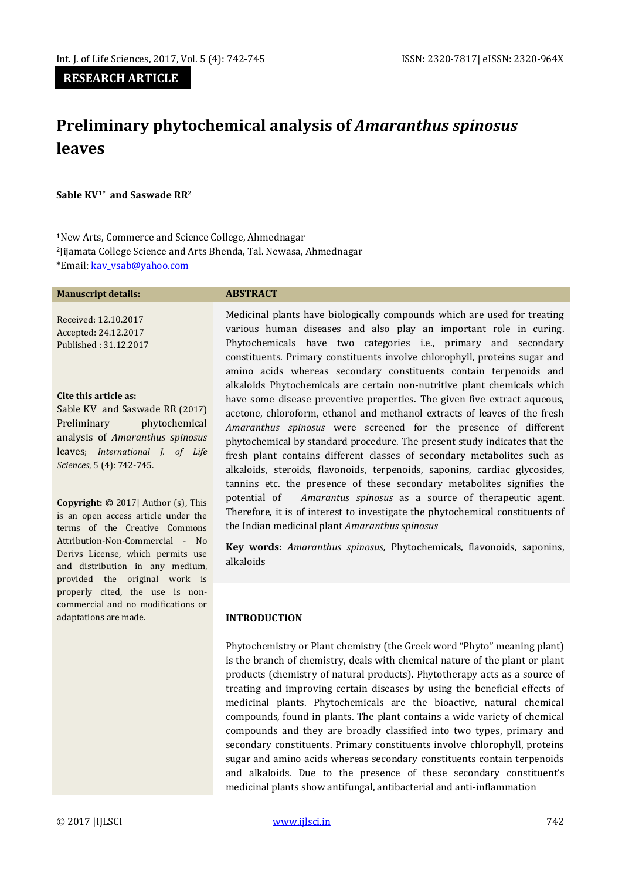# **RESEARCH ARTICLE**

# **Preliminary phytochemical analysis of** *Amaranthus spinosus*  **leaves**

**Sable KV1\* and Saswade RR**<sup>2</sup>

**<sup>1</sup>**New Arts, Commerce and Science College, Ahmednagar <sup>2</sup>Jijamata College Science and Arts Bhenda, Tal. Newasa, Ahmednagar \*Email[: kav\\_vsab@yahoo.com](mailto:kav_vsab@yahoo.com)

#### **Manuscript details: ABSTRACT**

Received: 12.10.2017 Accepted: 24.12.2017 Published : 31.12.2017

#### **Cite this article as:**

Sable KV and Saswade RR (2017) Preliminary phytochemical analysis of *Amaranthus spinosus*  leaves; *International J. of Life Sciences*, 5 (4): 742-745.

**Copyright: ©** 2017| Author (s), This is an open access article under the terms of the Creative Commons Attribution-Non-Commercial - No Derivs License, which permits use and distribution in any medium, provided the original work is properly cited, the use is noncommercial and no modifications or adaptations are made.

Medicinal plants have biologically compounds which are used for treating various human diseases and also play an important role in curing. Phytochemicals have two categories i.e., primary and secondary constituents. Primary constituents involve chlorophyll, proteins sugar and amino acids whereas secondary constituents contain terpenoids and alkaloids Phytochemicals are certain non-nutritive plant chemicals which have some disease preventive properties. The given five extract aqueous, acetone, chloroform, ethanol and methanol extracts of leaves of the fresh *Amaranthus spinosus* were screened for the presence of different phytochemical by standard procedure. The present study indicates that the fresh plant contains different classes of secondary metabolites such as alkaloids, steroids, flavonoids, terpenoids, saponins, cardiac glycosides, tannins etc. the presence of these secondary metabolites signifies the potential of *Amarantus spinosus* as a source of therapeutic agent. Therefore, it is of interest to investigate the phytochemical constituents of the Indian medicinal plant *Amaranthus spinosus*

**Key words:** *Amaranthus spinosus,* Phytochemicals, flavonoids, saponins, alkaloids

#### **INTRODUCTION**

Phytochemistry or Plant chemistry (the Greek word "Phyto" meaning plant) is the branch of chemistry, deals with chemical nature of the plant or plant products (chemistry of natural products). Phytotherapy acts as a source of treating and improving certain diseases by using the beneficial effects of medicinal plants. Phytochemicals are the bioactive, natural chemical compounds, found in plants. The plant contains a wide variety of chemical compounds and they are broadly classified into two types, primary and secondary constituents. Primary constituents involve chlorophyll, proteins sugar and amino acids whereas secondary constituents contain terpenoids and alkaloids. Due to the presence of these secondary constituent's medicinal plants show antifungal, antibacterial and anti-inflammation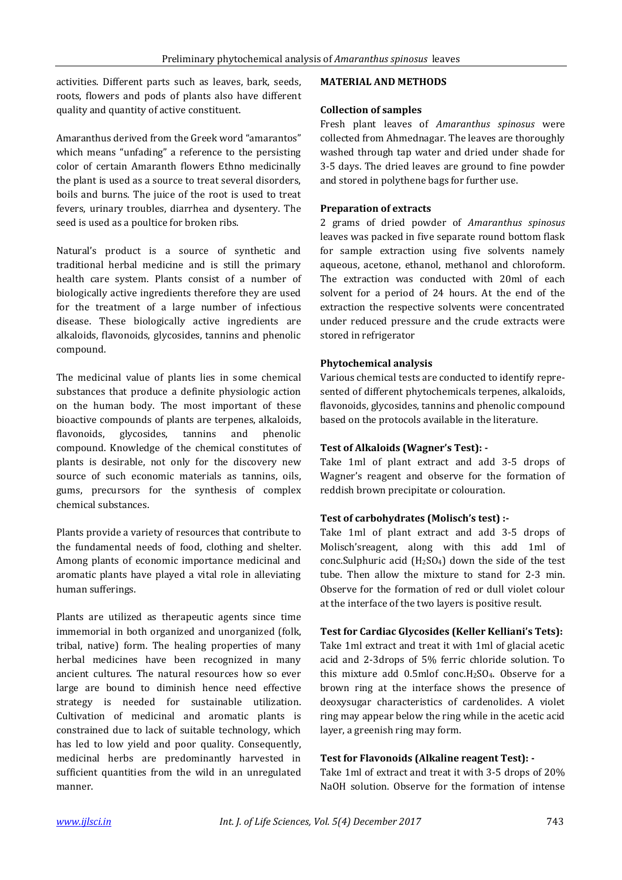activities. Different parts such as leaves, bark, seeds, roots, flowers and pods of plants also have different quality and quantity of active constituent.

Amaranthus derived from the Greek word "amarantos" which means "unfading" a reference to the persisting color of certain Amaranth flowers Ethno medicinally the plant is used as a source to treat several disorders, boils and burns. The juice of the root is used to treat fevers, urinary troubles, diarrhea and dysentery. The seed is used as a poultice for broken ribs.

Natural's product is a source of synthetic and traditional herbal medicine and is still the primary health care system. Plants consist of a number of biologically active ingredients therefore they are used for the treatment of a large number of infectious disease. These biologically active ingredients are alkaloids, flavonoids, glycosides, tannins and phenolic compound.

The medicinal value of plants lies in some chemical substances that produce a definite physiologic action on the human body. The most important of these bioactive compounds of plants are terpenes, alkaloids, flavonoids, glycosides, tannins and phenolic compound. Knowledge of the chemical constitutes of plants is desirable, not only for the discovery new source of such economic materials as tannins, oils, gums, precursors for the synthesis of complex chemical substances.

Plants provide a variety of resources that contribute to the fundamental needs of food, clothing and shelter. Among plants of economic importance medicinal and aromatic plants have played a vital role in alleviating human sufferings.

Plants are utilized as therapeutic agents since time immemorial in both organized and unorganized (folk, tribal, native) form. The healing properties of many herbal medicines have been recognized in many ancient cultures. The natural resources how so ever large are bound to diminish hence need effective strategy is needed for sustainable utilization. Cultivation of medicinal and aromatic plants is constrained due to lack of suitable technology, which has led to low yield and poor quality. Consequently, medicinal herbs are predominantly harvested in sufficient quantities from the wild in an unregulated manner.

## **MATERIAL AND METHODS**

## **Collection of samples**

Fresh plant leaves of *Amaranthus spinosus* were collected from Ahmednagar. The leaves are thoroughly washed through tap water and dried under shade for 3-5 days. The dried leaves are ground to fine powder and stored in polythene bags for further use.

## **Preparation of extracts**

2 grams of dried powder of *Amaranthus spinosus* leaves was packed in five separate round bottom flask for sample extraction using five solvents namely aqueous, acetone, ethanol, methanol and chloroform. The extraction was conducted with 20ml of each solvent for a period of 24 hours. At the end of the extraction the respective solvents were concentrated under reduced pressure and the crude extracts were stored in refrigerator

## **Phytochemical analysis**

Various chemical tests are conducted to identify represented of different phytochemicals terpenes, alkaloids, flavonoids, glycosides, tannins and phenolic compound based on the protocols available in the literature.

# **Test of Alkaloids (Wagner's Test): -**

Take 1ml of plant extract and add 3-5 drops of Wagner's reagent and observe for the formation of reddish brown precipitate or colouration.

# **Test of carbohydrates (Molisch's test) :-**

Take 1ml of plant extract and add 3-5 drops of Molisch'sreagent, along with this add 1ml of conc.Sulphuric acid  $(H<sub>2</sub>SO<sub>4</sub>)$  down the side of the test tube. Then allow the mixture to stand for 2-3 min. Observe for the formation of red or dull violet colour at the interface of the two layers is positive result.

## **Test for Cardiac Glycosides (Keller Kelliani's Tets):**

Take 1ml extract and treat it with 1ml of glacial acetic acid and 2-3drops of 5% ferric chloride solution. To this mixture add  $0.5$ mlof conc.H<sub>2</sub>SO<sub>4</sub>. Observe for a brown ring at the interface shows the presence of deoxysugar characteristics of cardenolides. A violet ring may appear below the ring while in the acetic acid layer, a greenish ring may form.

## **Test for Flavonoids (Alkaline reagent Test): -**

Take 1ml of extract and treat it with 3-5 drops of 20% NaOH solution. Observe for the formation of intense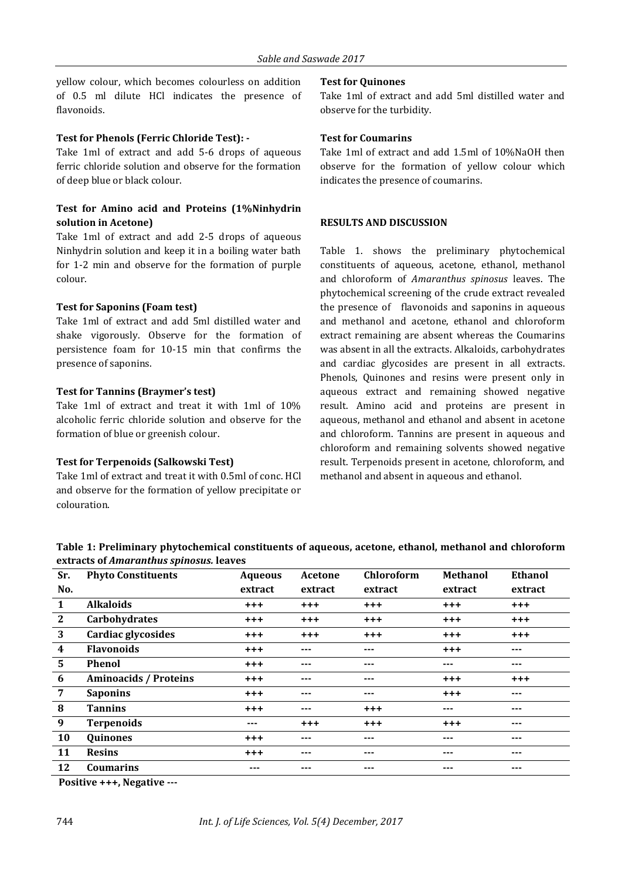yellow colour, which becomes colourless on addition of 0.5 ml dilute HCl indicates the presence of flavonoids.

## **Test for Phenols (Ferric Chloride Test): -**

Take 1ml of extract and add 5-6 drops of aqueous ferric chloride solution and observe for the formation of deep blue or black colour.

# **Test for Amino acid and Proteins (1%Ninhydrin solution in Acetone)**

Take 1ml of extract and add 2-5 drops of aqueous Ninhydrin solution and keep it in a boiling water bath for 1-2 min and observe for the formation of purple colour.

## **Test for Saponins (Foam test)**

Take 1ml of extract and add 5ml distilled water and shake vigorously. Observe for the formation of persistence foam for 10-15 min that confirms the presence of saponins.

## **Test for Tannins (Braymer's test)**

Take 1ml of extract and treat it with 1ml of 10% alcoholic ferric chloride solution and observe for the formation of blue or greenish colour.

## **Test for Terpenoids (Salkowski Test)**

Take 1ml of extract and treat it with 0.5ml of conc. HCl and observe for the formation of yellow precipitate or colouration.

## **Test for Quinones**

Take 1ml of extract and add 5ml distilled water and observe for the turbidity.

## **Test for Coumarins**

Take 1ml of extract and add 1.5ml of 10%NaOH then observe for the formation of yellow colour which indicates the presence of coumarins.

## **RESULTS AND DISCUSSION**

Table 1. shows the preliminary phytochemical constituents of aqueous, acetone, ethanol, methanol and chloroform of *Amaranthus spinosus* leaves. The phytochemical screening of the crude extract revealed the presence of flavonoids and saponins in aqueous and methanol and acetone, ethanol and chloroform extract remaining are absent whereas the Coumarins was absent in all the extracts. Alkaloids, carbohydrates and cardiac glycosides are present in all extracts. Phenols, Quinones and resins were present only in aqueous extract and remaining showed negative result. Amino acid and proteins are present in aqueous, methanol and ethanol and absent in acetone and chloroform. Tannins are present in aqueous and chloroform and remaining solvents showed negative result. Terpenoids present in acetone, chloroform, and methanol and absent in aqueous and ethanol.

**Table 1: Preliminary phytochemical constituents of aqueous, acetone, ethanol, methanol and chloroform extracts of** *Amaranthus spinosus.* **leaves**

| Sr.                     | <b>Phyto Constituents</b>    | <b>Aqueous</b> | Acetone | <b>Chloroform</b> | <b>Methanol</b> | Ethanol  |
|-------------------------|------------------------------|----------------|---------|-------------------|-----------------|----------|
| No.                     |                              | extract        | extract | extract           | extract         | extract  |
| 1                       | <b>Alkaloids</b>             | $+ + +$        | $+ + +$ | $^{+++}$          | $+ + +$         | $^{+++}$ |
| $\mathbf{2}$            | Carbohydrates                | $^{+++}$       | $+ + +$ | $^{+++}$          | $+ + +$         | $^{+++}$ |
| 3                       | Cardiac glycosides           | $+ + +$        | $+ + +$ | $+ + +$           | $+ + +$         | $^{+++}$ |
| $\overline{\mathbf{4}}$ | <b>Flavonoids</b>            | $+ + +$        | ---     | ---               | $+ + +$         | ---      |
| 5                       | <b>Phenol</b>                | $^{+ + +}$     | ---     | ---               | ---             | ---      |
| 6                       | <b>Aminoacids / Proteins</b> | $^{+++}$       | $---$   | ---               | $+ + +$         | $+++$    |
| 7                       | <b>Saponins</b>              | $+++$          | ---     | ---               | $+ + +$         | ---      |
| 8                       | <b>Tannins</b>               | $+ + +$        | ---     | $^{+++}$          | ---             | ---      |
| 9                       | <b>Terpenoids</b>            | ---            | $+ + +$ | $+ + +$           | $+ + +$         | ---      |
| 10                      | <b>Quinones</b>              | $+ + +$        | $---$   | ---               | ---             | ---      |
| 11                      | <b>Resins</b>                | $+ + +$        | ---     | ---               | ---             | ---      |
| 12                      | <b>Coumarins</b>             | ---            | ---     | ---               | ---             | ---      |

**Positive +++, Negative ---**